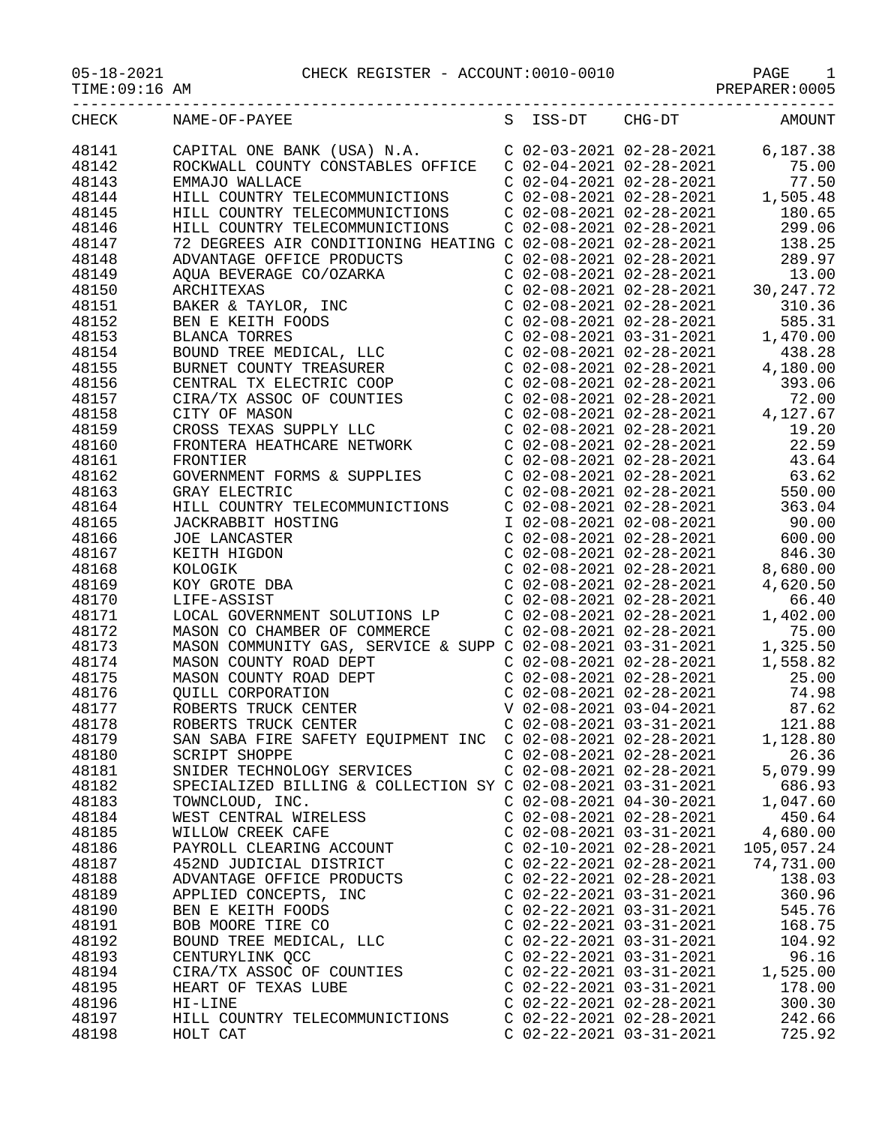05-18-2021 CHECK REGISTER - ACCOUNT:0010-0010 PAGE 1

TIME:09:16 AM PREPARER:0005

| CHECK | NAME-OF-PAYEE                                                                                                                                                                                                                                                |                           |                           | S ISS-DT CHG-DT AMOUNT                                                                                                                                                                                                                    |
|-------|--------------------------------------------------------------------------------------------------------------------------------------------------------------------------------------------------------------------------------------------------------------|---------------------------|---------------------------|-------------------------------------------------------------------------------------------------------------------------------------------------------------------------------------------------------------------------------------------|
| 48141 | CAPITAL ONE BANK (USA) N.A.<br>C 02-03-2021 02-28-2021 6,187.38                                                                                                                                                                                              |                           |                           |                                                                                                                                                                                                                                           |
| 48142 | CAPITAL ONE BANK (USA) N.A. CONSTABLES OF TICE CONSTANT COUNTY CONSTABLES OF TICE CONSTANT CONSTABLES OF TICE CONSTANT CONSTABLES OF CONSTANT CONSTANT CONSTANT CONSTANT CONSTANT CONSTANT CONSTANT CONSTANT CONSTANT CONSTANT                               |                           |                           |                                                                                                                                                                                                                                           |
| 48143 |                                                                                                                                                                                                                                                              |                           |                           |                                                                                                                                                                                                                                           |
|       |                                                                                                                                                                                                                                                              |                           |                           |                                                                                                                                                                                                                                           |
| 48144 |                                                                                                                                                                                                                                                              |                           |                           |                                                                                                                                                                                                                                           |
| 48145 |                                                                                                                                                                                                                                                              |                           |                           |                                                                                                                                                                                                                                           |
| 48146 |                                                                                                                                                                                                                                                              |                           |                           |                                                                                                                                                                                                                                           |
| 48147 |                                                                                                                                                                                                                                                              |                           |                           |                                                                                                                                                                                                                                           |
| 48148 |                                                                                                                                                                                                                                                              |                           |                           |                                                                                                                                                                                                                                           |
| 48149 |                                                                                                                                                                                                                                                              |                           |                           |                                                                                                                                                                                                                                           |
| 48150 |                                                                                                                                                                                                                                                              |                           |                           |                                                                                                                                                                                                                                           |
| 48151 |                                                                                                                                                                                                                                                              |                           |                           |                                                                                                                                                                                                                                           |
| 48152 |                                                                                                                                                                                                                                                              |                           |                           |                                                                                                                                                                                                                                           |
| 48153 |                                                                                                                                                                                                                                                              |                           |                           |                                                                                                                                                                                                                                           |
| 48154 |                                                                                                                                                                                                                                                              |                           |                           |                                                                                                                                                                                                                                           |
| 48155 | 72 DEGREES AIR CONDITIONING HEATING<br>ADVANTAGE OFFICE PRODUCTS<br>AQUA BEVERAGE CO/OZARKA<br>ARCHITEXAS<br>BAKER & TAYLOR, INC<br>BEN E KEITH FOODS<br>BLANCA TORRES<br>BOUND TREE MEDICAL, LLC<br>BURNET COUNTY TREASURER<br>CENTRAL TX ELECTRIC COOP<br> |                           |                           | $C$ 02-08-2021 02-28-2021 30, 247. 72<br>$C$ 02-08-2021 02-28-2021 310.36<br>$C$ 02-08-2021 02-28-2021 585.31<br>$C$ 02-08-2021 03-31-2021 1, 470.00<br>$C$ 02-08-2021 02-28-2021 438.28<br>$C$ 02-08-2021 02-28-2021 4, 180.00<br>$C$ 02 |
| 48156 |                                                                                                                                                                                                                                                              |                           |                           |                                                                                                                                                                                                                                           |
| 48157 |                                                                                                                                                                                                                                                              |                           |                           |                                                                                                                                                                                                                                           |
| 48158 | CIRA/TX ASSOC OF COUNTIES<br>CITY OF MASON<br>CIDOG ENULO SUPPRESSION                                                                                                                                                                                        |                           |                           |                                                                                                                                                                                                                                           |
| 48159 | CROSS TEXAS SUPPLY LLC<br>FRONTERA HEATHCARE NETWORK<br>FRONTIER<br>GOVERNMENT BODYS                                                                                                                                                                         |                           |                           |                                                                                                                                                                                                                                           |
| 48160 |                                                                                                                                                                                                                                                              |                           |                           |                                                                                                                                                                                                                                           |
| 48161 |                                                                                                                                                                                                                                                              |                           |                           | $C$ 02-08-2021 02-28-2021 43.64                                                                                                                                                                                                           |
| 48162 | GOVERNMENT FORMS & SUPPLIES                                                                                                                                                                                                                                  |                           |                           | $C$ 02-08-2021 02-28-2021 63.62                                                                                                                                                                                                           |
| 48163 | GRAY ELECTRIC                                                                                                                                                                                                                                                |                           |                           | $C$ 02-08-2021 02-28-2021 550.00                                                                                                                                                                                                          |
| 48164 | HILL COUNTRY TELECOMMUNICTIONS                                                                                                                                                                                                                               |                           |                           |                                                                                                                                                                                                                                           |
| 48165 |                                                                                                                                                                                                                                                              |                           |                           | C 02-08-2021 02-28-2021 363.04<br>I 02-08-2021 02-08-2021 90.00<br>C 02-08-2021 02-28-2021 600.00<br>C 02-08-2021 02-28-2021 600.00<br>C 02-08-2021 02-28-2021 846.30<br>C 02-08-2021 02-28-2021 8,680.00                                 |
| 48166 | THE TRING THE TRING THE TRING THE TRING THE TRING OF LANCASTER<br>KEITH HIGDON<br>KOLOGIK<br>KOY GROTE DBA<br>LIFE-ASSIST                                                                                                                                    |                           |                           |                                                                                                                                                                                                                                           |
|       |                                                                                                                                                                                                                                                              |                           |                           |                                                                                                                                                                                                                                           |
| 48167 |                                                                                                                                                                                                                                                              |                           |                           |                                                                                                                                                                                                                                           |
| 48168 |                                                                                                                                                                                                                                                              |                           |                           |                                                                                                                                                                                                                                           |
| 48169 |                                                                                                                                                                                                                                                              |                           |                           |                                                                                                                                                                                                                                           |
| 48170 | XOY GROTE DBA<br>LIFE-ASSIST<br>LIFE-ASSIST<br>LOCAL GOVERNMENT SOLUTIONS LP<br>LOCAL GOVERNMENT SOLUTIONS LP<br>C 02-08-2021 02-28-2021<br>C 02-08-2021 02-28-2021<br>C 02-08-2021 02-28-2021<br>1,402.00<br>MASON COMMUNITY GAS, SERVICE & SUP             |                           |                           |                                                                                                                                                                                                                                           |
| 48171 |                                                                                                                                                                                                                                                              |                           |                           |                                                                                                                                                                                                                                           |
| 48172 |                                                                                                                                                                                                                                                              |                           |                           |                                                                                                                                                                                                                                           |
| 48173 |                                                                                                                                                                                                                                                              |                           |                           |                                                                                                                                                                                                                                           |
| 48174 | MASON COUNTY ROAD DEPT<br>MASON COUNTY ROAD DEPT<br>QUILL CORPORATION<br>ROBERTS TRUCK CENTER<br>ROBERTS TRUCK CENTER<br>ROBERTS TRUCK CENTER                                                                                                                |                           | $C$ 02-08-2021 02-28-2021 | 1,558.82                                                                                                                                                                                                                                  |
| 48175 |                                                                                                                                                                                                                                                              |                           |                           | $\begin{array}{cccc} \texttt{C} & 02-08-2021 & 02-28-2021 & & 25.00 \\ \texttt{C} & 02-08-2021 & 02-28-2021 & & 74.98 \\ \texttt{V} & 02-08-2021 & 03-04-2021 & & 87.62 \end{array}$                                                      |
| 48176 |                                                                                                                                                                                                                                                              |                           |                           |                                                                                                                                                                                                                                           |
| 48177 |                                                                                                                                                                                                                                                              |                           |                           |                                                                                                                                                                                                                                           |
| 48178 |                                                                                                                                                                                                                                                              |                           |                           | $C$ 02-08-2021 03-31-2021 121.88                                                                                                                                                                                                          |
| 48179 | SAN SABA FIRE SAFETY EQUIPMENT INC C 02-08-2021 02-28-2021                                                                                                                                                                                                   |                           |                           | 1,128.80                                                                                                                                                                                                                                  |
| 48180 | SCRIPT SHOPPE                                                                                                                                                                                                                                                | $C$ 02-08-2021 02-28-2021 |                           | 26.36                                                                                                                                                                                                                                     |
| 48181 | SNIDER TECHNOLOGY SERVICES                                                                                                                                                                                                                                   |                           | $C$ 02-08-2021 02-28-2021 | 5,079.99                                                                                                                                                                                                                                  |
| 48182 | SPECIALIZED BILLING & COLLECTION SY C 02-08-2021 03-31-2021                                                                                                                                                                                                  |                           |                           | 686.93                                                                                                                                                                                                                                    |
| 48183 | TOWNCLOUD, INC.                                                                                                                                                                                                                                              | $C$ 02-08-2021 04-30-2021 |                           | 1,047.60                                                                                                                                                                                                                                  |
| 48184 | WEST CENTRAL WIRELESS                                                                                                                                                                                                                                        | $C$ 02-08-2021 02-28-2021 |                           | 450.64                                                                                                                                                                                                                                    |
| 48185 | WILLOW CREEK CAFE                                                                                                                                                                                                                                            | $C$ 02-08-2021 03-31-2021 |                           | 4,680.00                                                                                                                                                                                                                                  |
| 48186 | PAYROLL CLEARING ACCOUNT                                                                                                                                                                                                                                     | $C$ 02-10-2021 02-28-2021 |                           | 105,057.24                                                                                                                                                                                                                                |
| 48187 | 452ND JUDICIAL DISTRICT                                                                                                                                                                                                                                      | $C$ 02-22-2021 02-28-2021 |                           | 74,731.00                                                                                                                                                                                                                                 |
| 48188 | ADVANTAGE OFFICE PRODUCTS                                                                                                                                                                                                                                    | $C$ 02-22-2021 02-28-2021 |                           | 138.03                                                                                                                                                                                                                                    |
| 48189 | APPLIED CONCEPTS, INC                                                                                                                                                                                                                                        | $C$ 02-22-2021 03-31-2021 |                           | 360.96                                                                                                                                                                                                                                    |
| 48190 | BEN E KEITH FOODS                                                                                                                                                                                                                                            | $C$ 02-22-2021 03-31-2021 |                           | 545.76                                                                                                                                                                                                                                    |
| 48191 | BOB MOORE TIRE CO                                                                                                                                                                                                                                            |                           | $C$ 02-22-2021 03-31-2021 | 168.75                                                                                                                                                                                                                                    |
| 48192 | BOUND TREE MEDICAL, LLC                                                                                                                                                                                                                                      |                           | $C$ 02-22-2021 03-31-2021 | 104.92                                                                                                                                                                                                                                    |
|       |                                                                                                                                                                                                                                                              |                           | $C$ 02-22-2021 03-31-2021 | 96.16                                                                                                                                                                                                                                     |
| 48193 | CENTURYLINK QCC                                                                                                                                                                                                                                              |                           |                           |                                                                                                                                                                                                                                           |
| 48194 | CIRA/TX ASSOC OF COUNTIES                                                                                                                                                                                                                                    |                           | $C$ 02-22-2021 03-31-2021 | 1,525.00                                                                                                                                                                                                                                  |
| 48195 | HEART OF TEXAS LUBE                                                                                                                                                                                                                                          |                           | $C$ 02-22-2021 03-31-2021 | 178.00                                                                                                                                                                                                                                    |
| 48196 | HI-LINE                                                                                                                                                                                                                                                      | $C$ 02-22-2021 02-28-2021 |                           | 300.30                                                                                                                                                                                                                                    |
| 48197 | HILL COUNTRY TELECOMMUNICTIONS                                                                                                                                                                                                                               |                           | $C$ 02-22-2021 02-28-2021 | 242.66                                                                                                                                                                                                                                    |
| 48198 | HOLT CAT                                                                                                                                                                                                                                                     | $C$ 02-22-2021 03-31-2021 |                           | 725.92                                                                                                                                                                                                                                    |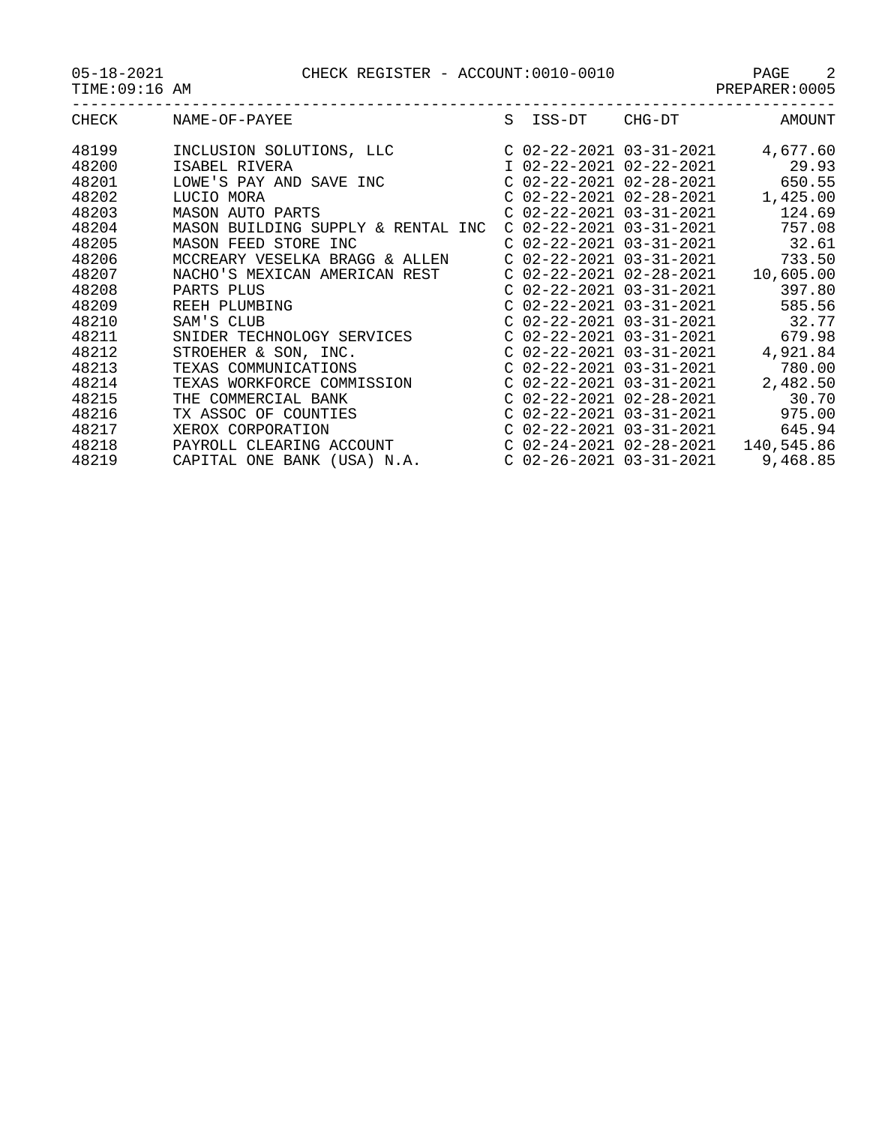PAGE CHECK REGISTER - ACCOUNT:0010-0010 PAGE 2<br>PREPARER:0005

| $05 - 18 - 2021$ |
|------------------|
|------------------|

| TIME:09:1<br>AM<br>. L<br>$\sim$ | PREPARER<br>JU' |
|----------------------------------|-----------------|
| $- - -$                          |                 |

| CHECK | NAME-OF-PAYEE                      | S ISS-DT | CHG-DT                    | <b>AMOUNT</b> |
|-------|------------------------------------|----------|---------------------------|---------------|
| 48199 | INCLUSION SOLUTIONS, LLC           |          | C 02-22-2021 03-31-2021   | 4,677.60      |
| 48200 | ISABEL RIVERA                      |          | I 02-22-2021 02-22-2021   | 29.93         |
| 48201 | LOWE'S PAY AND SAVE INC            |          | C 02-22-2021 02-28-2021   | 650.55        |
| 48202 | LUCIO MORA                         |          | $C$ 02-22-2021 02-28-2021 | 1,425.00      |
| 48203 | MASON AUTO PARTS                   |          | $C$ 02-22-2021 03-31-2021 | 124.69        |
| 48204 | MASON BUILDING SUPPLY & RENTAL INC |          | $C$ 02-22-2021 03-31-2021 | 757.08        |
| 48205 | MASON FEED STORE INC               |          | $C$ 02-22-2021 03-31-2021 | 32.61         |
| 48206 | MCCREARY VESELKA BRAGG & ALLEN     |          | C 02-22-2021 03-31-2021   | 733.50        |
| 48207 | NACHO'S MEXICAN AMERICAN REST      |          | C 02-22-2021 02-28-2021   | 10,605.00     |
| 48208 | PARTS PLUS                         |          | $C$ 02-22-2021 03-31-2021 | 397.80        |
| 48209 | REEH PLUMBING                      |          | $C$ 02-22-2021 03-31-2021 | 585.56        |
| 48210 | SAM'S CLUB                         |          | $C$ 02-22-2021 03-31-2021 | 32.77         |
| 48211 | SNIDER TECHNOLOGY SERVICES         |          | $C$ 02-22-2021 03-31-2021 | 679.98        |
| 48212 | STROEHER & SON, INC.               |          | C 02-22-2021 03-31-2021   | 4,921.84      |
| 48213 | TEXAS COMMUNICATIONS               |          | $C$ 02-22-2021 03-31-2021 | 780.00        |
| 48214 | TEXAS WORKFORCE COMMISSION         |          | $C$ 02-22-2021 03-31-2021 | 2,482.50      |
| 48215 | THE COMMERCIAL BANK                |          | $C$ 02-22-2021 02-28-2021 | 30.70         |
| 48216 | TX ASSOC OF COUNTIES               |          | $C$ 02-22-2021 03-31-2021 | 975.00        |
| 48217 | XEROX CORPORATION                  |          | C 02-22-2021 03-31-2021   | 645.94        |
| 48218 | PAYROLL CLEARING ACCOUNT           |          | C 02-24-2021 02-28-2021   | 140,545.86    |
| 48219 | CAPITAL ONE BANK (USA) N.A.        |          | $C$ 02-26-2021 03-31-2021 | 9,468.85      |